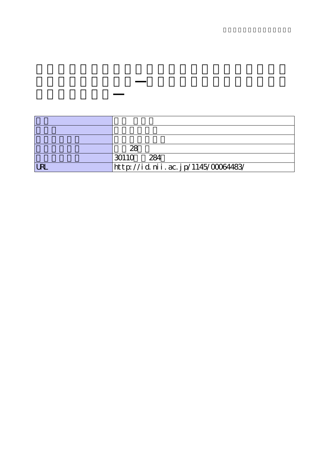|            | 28                                 |
|------------|------------------------------------|
|            | 30110<br>284                       |
| <b>IRI</b> | http://id.nii.ac.jp/1145/00064483/ |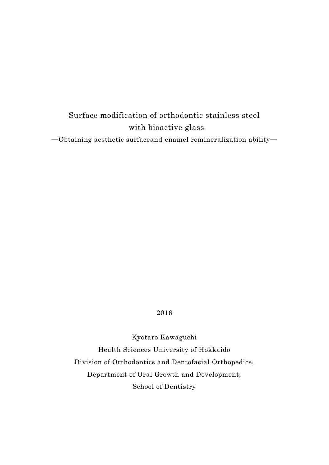# Surface modification of orthodontic stainless steel with bioactive glass

―Obtaining aesthetic surfaceand enamel remineralization ability―

# 2016

Kyotaro Kawaguchi Health Sciences University of Hokkaido Division of Orthodontics and Dentofacial Orthopedics, Department of Oral Growth and Development, School of Dentistry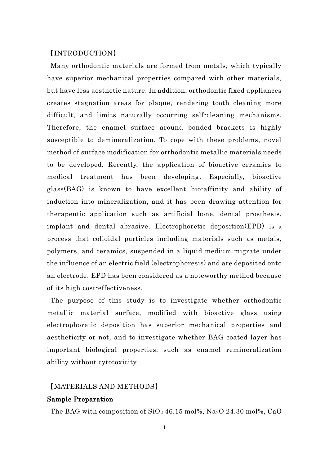## 【INTRODUCTION】

Many orthodontic materials are formed from metals, which typically have superior mechanical properties compared with other materials, but have less aesthetic nature. In addition, orthodontic fixed appliances creates stagnation areas for plaque, rendering tooth cleaning more difficult, and limits naturally occurring self-cleaning mechanisms. Therefore, the enamel surface around bonded brackets is highly susceptible to demineralization. To cope with these problems, novel method of surface modification for orthodontic metallic materials needs to be developed. Recently, the application of bioactive ceramics to medical treatment has been developing. Especially, bioactive glass(BAG) is known to have excellent bio-affinity and ability of induction into mineralization, and it has been drawing attention for therapeutic application such as artificial bone, dental prosthesis, implant and dental abrasive. Electrophoretic deposition(EPD) is a process that colloidal particles including materials such as metals, polymers, and ceramics, suspended in a liquid medium migrate under the influence of an electric field (electrophoresis) and are deposited onto an electrode. EPD has been considered as a noteworthy method because of its high cost-effectiveness.

The purpose of this study is to investigate whether orthodontic metallic material surface, modified with bioactive glass using electrophoretic deposition has superior mechanical properties and aestheticity or not, and to investigate whether BAG coated layer has important biological properties, such as enamel remineralization ability without cytotoxicity.

## 【MATERIALS AND METHODS】

#### Sample Preparation

The BAG with composition of  $SiO<sub>2</sub>$  46.15 mol%, Na<sub>2</sub>O 24.30 mol%, CaO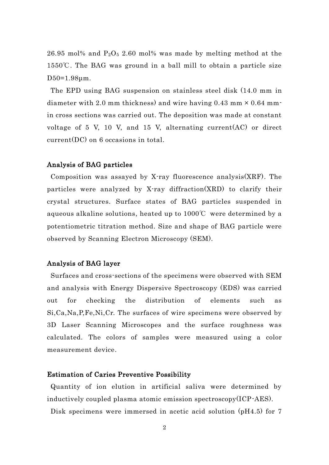26.95 mol% and  $P_2O_5$  2.60 mol% was made by melting method at the 1550℃. The BAG was ground in a ball mill to obtain a particle size D50=1.98μm.

The EPD using BAG suspension on stainless steel disk (14.0 mm in diameter with 2.0 mm thickness) and wire having  $0.43$  mm  $\times$   $0.64$  mm in cross sections was carried out. The deposition was made at constant voltage of 5 V, 10 V, and 15 V, alternating current(AC) or direct current(DC) on 6 occasions in total.

#### Analysis of BAG particles

Composition was assayed by X-ray fluorescence analysis(XRF). The particles were analyzed by X-ray diffraction(XRD) to clarify their crystal structures. Surface states of BAG particles suspended in aqueous alkaline solutions, heated up to 1000℃ were determined by a potentiometric titration method. Size and shape of BAG particle were observed by Scanning Electron Microscopy (SEM).

## Analysis of BAG layer

 Surfaces and cross-sections of the specimens were observed with SEM and analysis with Energy Dispersive Spectroscopy (EDS) was carried out for checking the distribution of elements such as Si,Ca,Na,P,Fe,Ni,Cr. The surfaces of wire specimens were observed by 3D Laser Scanning Microscopes and the surface roughness was calculated. The colors of samples were measured using a color measurement device.

## Estimation of Caries Preventive Possibility

Quantity of ion elution in artificial saliva were determined by inductively coupled plasma atomic emission spectroscopy(ICP-AES).

Disk specimens were immersed in acetic acid solution (pH4.5) for 7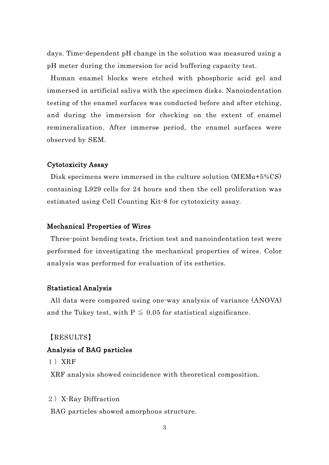days. Time-dependent pH change in the solution was measured using a pH meter during the immersion for acid buffering capacity test.

Human enamel blocks were etched with phosphoric acid gel and immersed in artificial saliva with the specimen disks. Nanoindentation testing of the enamel surfaces was conducted before and after etching, and during the immersion for checking on the extent of enamel remineralization. After immerse period, the enamel surfaces were observed by SEM.

## Cytotoxicity Assay

Disk specimens were immersed in the culture solution  $(MEMa+5\%CS)$ containing L929 cells for 24 hours and then the cell proliferation was estimated using Cell Counting Kit-8 for cytotoxicity assay.

#### Mechanical Properties of Wires

Three-point bending tests, friction test and nanoindentation test were performed for investigating the mechanical properties of wires. Color analysis was performed for evaluation of its esthetics.

#### Statistical Analysis

All data were compared using one-way analysis of variance (ANOVA) and the Tukey test, with  $P \leq 0.05$  for statistical significance.

【RESULTS】

## Analysis of BAG particles

1)XRF

XRF analysis showed coincidence with theoretical composition.

#### 2) X-Ray Diffraction

BAG particles showed amorphous structure.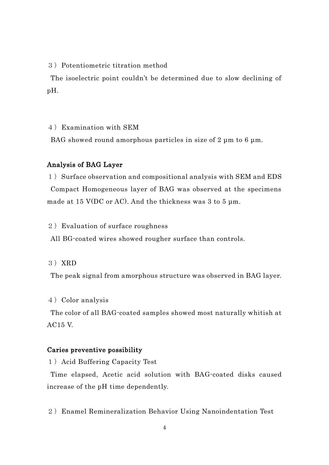3)Potentiometric titration method

The isoelectric point couldn't be determined due to slow declining of pH.

4)Examination with SEM

BAG showed round amorphous particles in size of 2 μm to 6 μm.

## Analysis of BAG Layer

1) Surface observation and compositional analysis with SEM and EDS Compact Homogeneous layer of BAG was observed at the specimens made at 15 V(DC or AC). And the thickness was 3 to 5 µm.

#### 2)Evaluation of surface roughness

All BG-coated wires showed rougher surface than controls.

3)XRD

The peak signal from amorphous structure was observed in BAG layer.

4)Color analysis

The color of all BAG-coated samples showed most naturally whitish at AC15 V.

## Caries preventive possibility

1) Acid Buffering Capacity Test

Time elapsed, Acetic acid solution with BAG-coated disks caused increase of the pH time dependently.

2) Enamel Remineralization Behavior Using Nanoindentation Test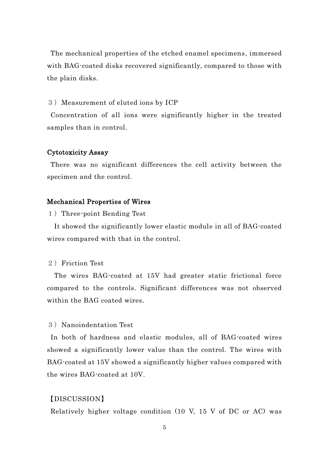The mechanical properties of the etched enamel specimens, immersed with BAG-coated disks recovered significantly, compared to those with the plain disks.

#### 3)Measurement of eluted ions by ICP

Concentration of all ions were significantly higher in the treated samples than in control.

#### Cytotoxicity Assay

There was no significant differences the cell activity between the specimen and the control.

#### Mechanical Properties of Wires

1) Three-point Bending Test

It showed the significantly lower elastic module in all of BAG-coated wires compared with that in the control.

## 2) Friction Test

 The wires BAG-coated at 15V had greater static frictional force compared to the controls. Significant differences was not observed within the BAG coated wires.

## 3) Nanoindentation Test

In both of hardness and elastic modules, all of BAG-coated wires showed a significantly lower value than the control. The wires with BAG-coated at 15V showed a significantly higher values compared with the wires BAG-coated at 10V.

## 【DISCUSSION】

Relatively higher voltage condition (10 V, 15 V of DC or AC) was